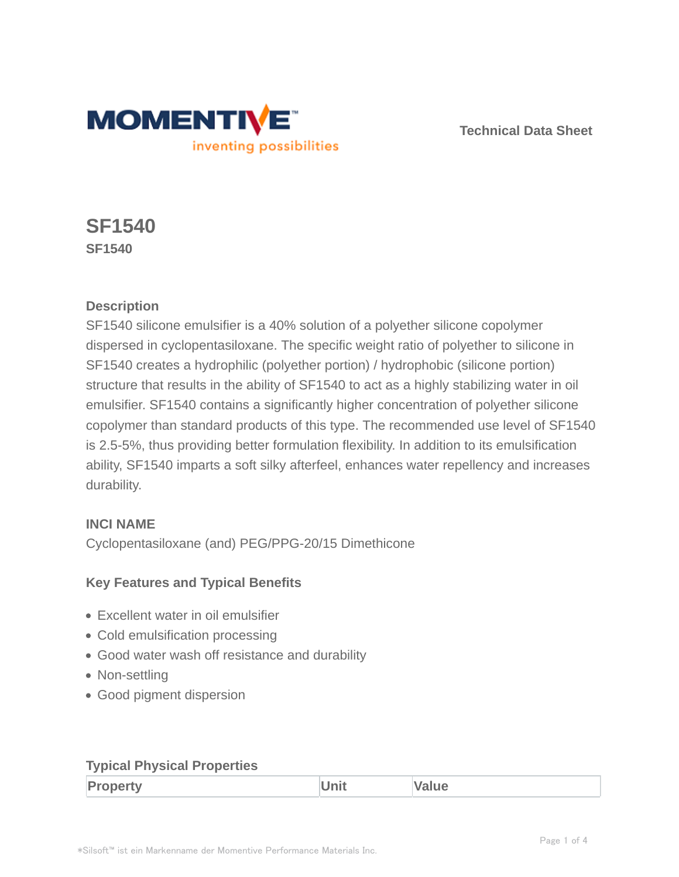

**Technical Data Sheet**

# **SF1540 SF1540**

# **Description**

SF1540 silicone emulsifier is a 40% solution of a polyether silicone copolymer dispersed in cyclopentasiloxane. The specific weight ratio of polyether to silicone in SF1540 creates a hydrophilic (polyether portion) / hydrophobic (silicone portion) structure that results in the ability of SF1540 to act as a highly stabilizing water in oil emulsifier. SF1540 contains a significantly higher concentration of polyether silicone copolymer than standard products of this type. The recommended use level of SF1540 is 2.5-5%, thus providing better formulation flexibility. In addition to its emulsification ability, SF1540 imparts a soft silky afterfeel, enhances water repellency and increases durability.

# **INCI NAME**

Cyclopentasiloxane (and) PEG/PPG-20/15 Dimethicone

# **Key Features and Typical Benefits**

- Excellent water in oil emulsifier
- Cold emulsification processing
- Good water wash off resistance and durability
- Non-settling
- Good pigment dispersion

# **Typical Physical Properties**

| D.<br>Œ<br>$1 - 11$<br>-- | $-24$<br>- | ____ |
|---------------------------|------------|------|
|---------------------------|------------|------|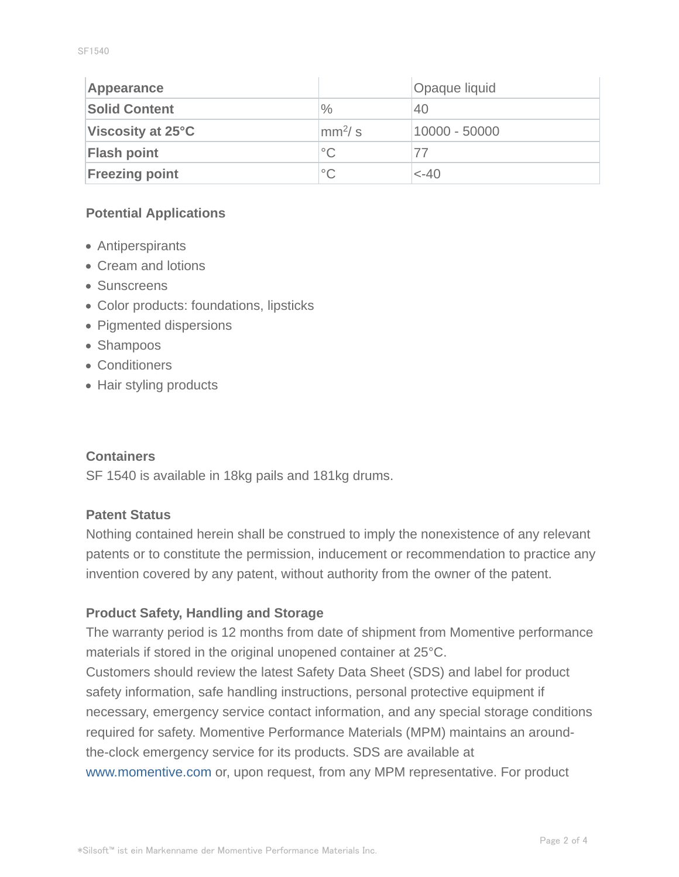| Appearance               |                        | Opaque liquid |
|--------------------------|------------------------|---------------|
| <b>Solid Content</b>     | $\frac{0}{0}$          | 40            |
| <b>Viscosity at 25°C</b> | $\text{mm}^2/\text{s}$ | 10000 - 50000 |
| <b>Flash point</b>       | $^{\circ}$ C           | 77            |
| <b>Freezing point</b>    | $^{\circ}$ C           | $< -40$       |

## **Potential Applications**

- Antiperspirants
- Cream and lotions
- Sunscreens
- Color products: foundations, lipsticks
- Pigmented dispersions
- Shampoos
- Conditioners
- Hair styling products

#### **Containers**

SF 1540 is available in 18kg pails and 181kg drums.

## **Patent Status**

Nothing contained herein shall be construed to imply the nonexistence of any relevant patents or to constitute the permission, inducement or recommendation to practice any invention covered by any patent, without authority from the owner of the patent.

## **Product Safety, Handling and Storage**

The warranty period is 12 months from date of shipment from Momentive performance materials if stored in the original unopened container at 25°C. Customers should review the latest Safety Data Sheet (SDS) and label for product safety information, safe handling instructions, personal protective equipment if necessary, emergency service contact information, and any special storage conditions required for safety. Momentive Performance Materials (MPM) maintains an aroundthe-clock emergency service for its products. SDS are available at www.momentive.com or, upon request, from any MPM representative. For product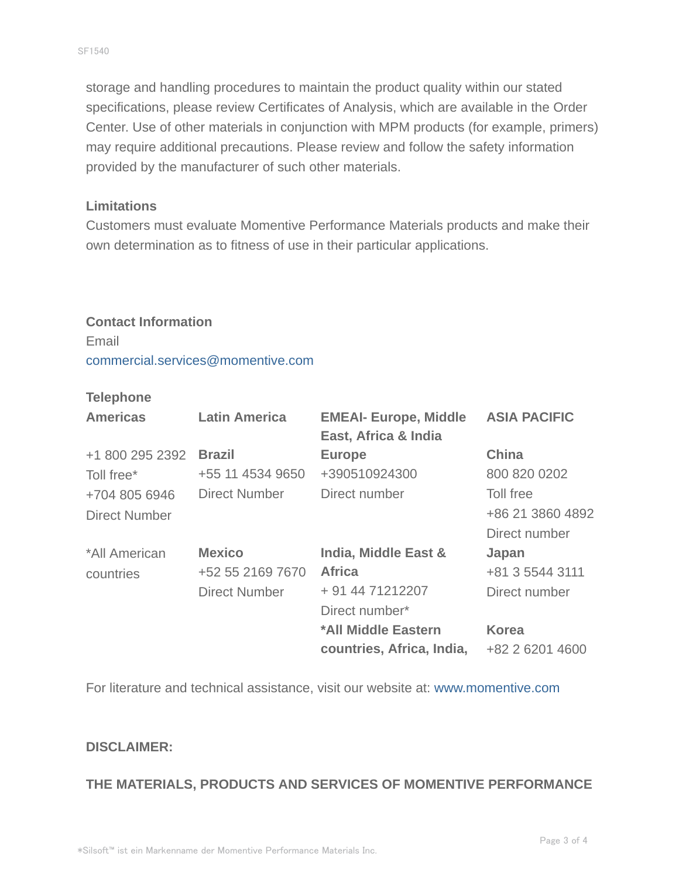storage and handling procedures to maintain the product quality within our stated specifications, please review Certificates of Analysis, which are available in the Order Center. Use of other materials in conjunction with MPM products (for example, primers) may require additional precautions. Please review and follow the safety information provided by the manufacturer of such other materials.

#### **Limitations**

Customers must evaluate Momentive Performance Materials products and make their own determination as to fitness of use in their particular applications.

## **Contact Information**

Email commercial.services@momentive.com

#### **Telephone**

| <b>Americas</b>      | <b>Latin America</b> | <b>EMEAI- Europe, Middle</b><br>East, Africa & India | <b>ASIA PACIFIC</b> |
|----------------------|----------------------|------------------------------------------------------|---------------------|
| +1 800 295 2392      | <b>Brazil</b>        | <b>Europe</b>                                        | <b>China</b>        |
| Toll free*           | +55 11 4534 9650     | +390510924300                                        | 800 820 0202        |
| +704 805 6946        | <b>Direct Number</b> | Direct number                                        | Toll free           |
| <b>Direct Number</b> |                      |                                                      | +86 21 3860 4892    |
|                      |                      |                                                      | Direct number       |
| *All American        | <b>Mexico</b>        | India, Middle East &                                 | Japan               |
| countries            | +52 55 2169 7670     | <b>Africa</b>                                        | +81 3 5544 3111     |
|                      | <b>Direct Number</b> | + 91 44 71212207                                     | Direct number       |
|                      |                      | Direct number*                                       |                     |
|                      |                      | *All Middle Eastern                                  | <b>Korea</b>        |
|                      |                      | countries, Africa, India,                            | +82 2 6201 4600     |

For literature and technical assistance, visit our website at: www.momentive.com

#### **DISCLAIMER:**

## **THE MATERIALS, PRODUCTS AND SERVICES OF MOMENTIVE PERFORMANCE**